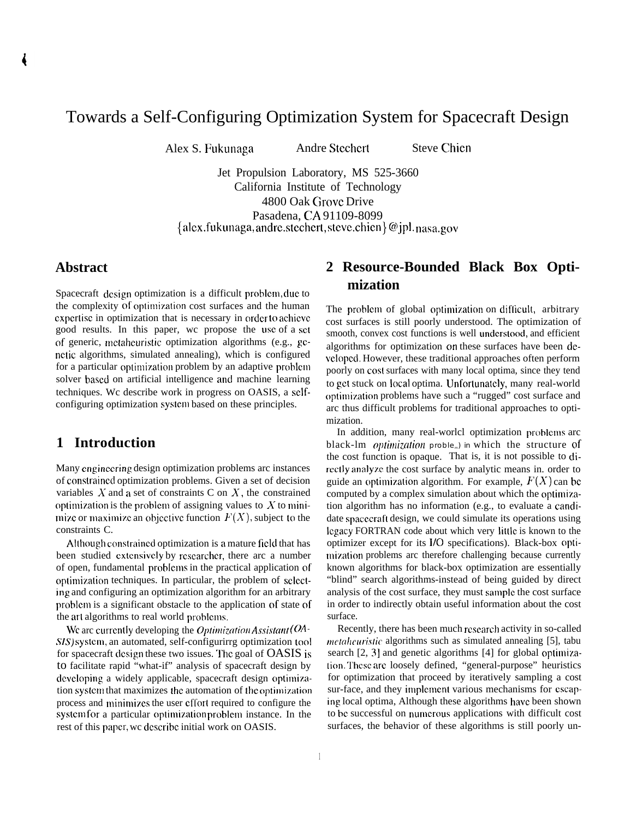# Towards a Self-Configuring Optimization System for Spacecraft Design

Alex S. Fukunaga Andre Stechert Steve Chien

Jet Propulsion Laboratory, MS 525-3660 California Institute of Technology 4800 Oak Grove Drive Pasadena, CA 91109-8099  ${alex}.fukunaga, and re.stechert, steve.chien}@jpl. nasa.gov$ 

### **Abstract**

Spacecraft design optimization is a difficult problem, due to the complexity of optimization cost surfaces and the human expertise in optimization that is necessary in order to achieve good results. In this paper, wc propose the use of a set of generic, mctahcuristic optimization algorithms (e.g., genetic algorithms, simulated annealing), which is configured for a particular optimization problem by an adaptive problem solver based on artificial intelligence and machine learning techniques. Wc describe work in progress on OASIS, a sclfconfiguring optimization systcm based on these principles.

## **1 Introduction**

Many engineering design optimization problems arc instances of constrained optimization problems. Given a set of decision variables  $X$  and a set of constraints C on  $X$ , the constrained optimization is the problem of assigning values to  $X$  to minimize or maximize an objective function  $F(X)$ , subject to the constraints C.

Although constraiacd optimization is a mature field that has been studied cxtcnsivcly by rcscarchcr, there arc a number of open, fundamental problcrns in the practical application of optimization techniques. In particular, the problem of selecting and configuring an optimization algorithm for an arbitrary problcm is a significant obstacle to the application of state of the art algorithms to real world problems.

We arc currently developing the *Optimization Assistant* ( $OA$ -SIS) system, an automated, self-configurirrg optimization tool for spacecraft design these two issues. The goal of OASIS is to facilitate rapid "what-if" analysis of spacecraft design by developing a widely applicable, spacecraft design optimization system that maximizes the automation of the optimization process and minimizes the user effort required to configure the system for a particular optimization problem instance. In the rest of this paper, wc dcscribc initial work on OASIS.

## **2 Resource-Bounded Black Box Optimization**

The problem of global optimization on difficult, arbitrary cost surfaces is still poorly understood. The optimization of smooth, convex cost functions is well understood, and efficient algorithms for optimization on these surfaces have been developed. However, these traditional approaches often perform poorly on cost surfaces with many local optima, since they tend to get stuck on local optima. Unfortunately, many real-world optimization problems have such a "rugged" cost surface and arc thus difficult problems for traditional approaches to optimization.

In addition, many real-worlcl optimization prohlcms arc black-lm *optimization* proble<sub>c</sub>) in which the structure of the cost function is opaque. That is, it is not possible to directly analyze the cost surface by analytic means in. order to guide an optimization algorithm. For example,  $F(X)$  can be computed by a complex simulation about which the optimization algorithm has no information (e.g., to evaluate a candidate spacecraft design, we could simulate its operations using Icgacy FORTRAN code about which very little is known to the optimizer except for its 1/0 specifications). Black-box optimization problems arc therefore challenging because currently known algorithms for black-box optimization are essentially "blind" search algorithms-instead of being guided by direct analysis of the cost surface, they must sarnplc the cost surface in order to indirectly obtain useful information about the cost surface.

Recently, there has been much research activity in so-called *mcfahcuristic* algorithms such as simulated annealing [5], tabu search  $[2, 3]$  and genetic algorithms  $[4]$  for global optimization. These are loosely defined, "general-purpose" heuristics for optimization that proceed by iteratively sampling a cost sur-face, and they implement various mechanisms for escaping local optima, Although these algorithms have been shown to bc successful on nurncrous applications with difficult cost surfaces, the behavior of these algorithms is still poorly un-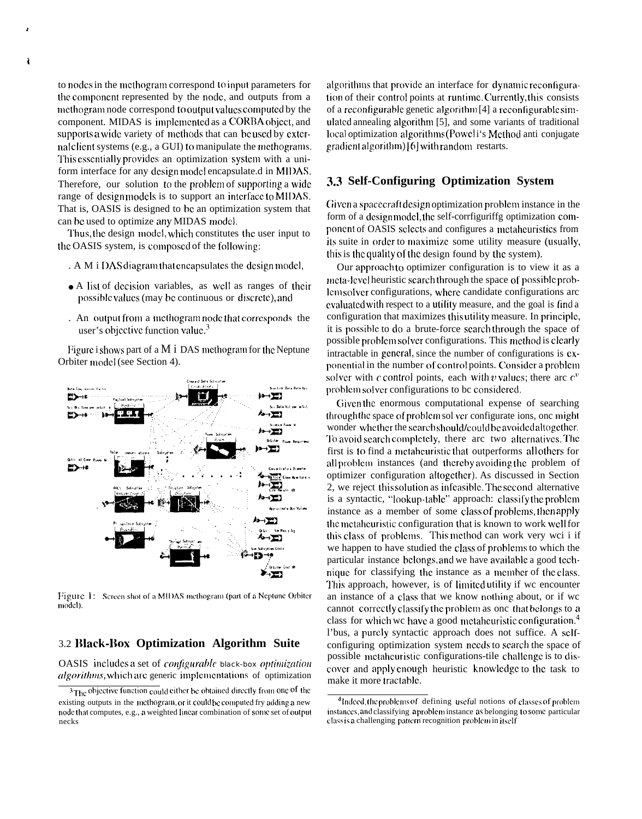to nodes in the methogram correspond to input parameters for the component represented by the node, and outputs from a methogram node correspond to output values computed by the component. MIDAS is implemented as a CORBA object, and supports a wide variety of methods that can be used by external client systems (e.g., a GUI) to manipulate the methograms. This essentially provides an optimization system with a uniform interface for any design model encapsulate.d in MIDAS. Therefore, our solution to the problem of supporting a wide range of designmodels is to support an interface to MIDAS. That is, OASIS is designed to be an optimization system that can be used to optimize any MIDAS model.

Thus, the design model, which constitutes the user input to the OASIS system, is composed of the following:

- . A M i DAS diagram that encapsulates the design model,
- A list of decision variables, as well as ranges of their possible values (may be continuous or discrete), and
- . An output from a methogram node that corresponds the user's objective function value.<sup>3</sup>

Figure i shows part of a  $M i$  DAS methogram for the Neptune Orbiter model (see Section 4).



Figure 1: Screen shot of a MIDAS methogram (part of a Neptune Orbiter model).

#### 3.2 Black-Box Optimization Algorithm Suite

OASIS includes a set of *configurable* black-box *optimization* algorithms, which are generic implementations of optimization

algorithms that provide an interface for dynamic reconfiguration of their control points at runtime. Currently, this consists of a reconfigurable genetic algorithm [4] a reconfigurable simulated annealing algorithm [5], and some variants of traditional local optimization algorithms (Powel i's Method anti-conjugate gradient algorithm) [6] with random restarts.

### 3.3 Self-Configuring Optimization System

Given a spacecraft design optimization problem instance in the form of a designmodel, the self-corrfiguriffg optimization component of OASIS selects and configures a metaheuristics from its suite in order to maximize some utility measure (usually, this is the quality of the design found by the system).

Our approach to optimizer configuration is to view it as a meta-level heuristic search through the space of possible problemsolver configurations, where candidate configurations are evaluated with respect to a utility measure, and the goal is find a configuration that maximizes this utility measure. In principle, it is possible to do a brute-force search through the space of possible problem solver configurations. This method is clearly intractable in general, since the number of configurations is exponential in the number of control points. Consider a problem solver with c control points, each with v values; there are  $c^v$ problem solver configurations to be considered.

Given the enormous computational expense of searching through the space of problem sol ver configurate ions, one might wonder whether the search should/could be avoided altogether. To avoid search completely, there arc two alternatives. The first is to find a metaheuristic that outperforms all others for all problem instances (and thereby avoiding the problem of optimizer configuration altogether). As discussed in Section 2, we reject this solution as infeasible. The second alternative is a syntactic, "lookup-table" approach: classify the problem instance as a member of some class of problems, then apply the metabouristic configuration that is known to work well for this class of problems. This method can work very wei i if we happen to have studied the class of problems to which the particular instance belongs, and we have available a good technique for classifying the instance as a member of the class. This approach, however, is of limited utility if we encounter an instance of a class that we know nothing about, or if wc cannot correctly classify the problem as one that belongs to a class for which we have a good metaheuristic configuration.<sup>4</sup> l'bus, a purely syntactic approach does not suffice. A selfconfiguring optimization system needs to search the space of possible metaheuristic configurations-tile challenge is to discover and apply enough heuristic knowledge to the task to make it more tractable.

 $\pmb{\cdot}$ 

<sup>&</sup>lt;sup>3</sup>The objective function could either be obtained directly from one of the existing outputs in the methogram, or it could be computed fry adding a new node that computes, e.g., a weighted linear combination of some set of output necks

<sup>&</sup>lt;sup>4</sup>Indeed, the problems of defining useful notions of classes of problem instances, and classifying a problem instance as belonging to some particular class is a challenging pattern recognition problem in itself